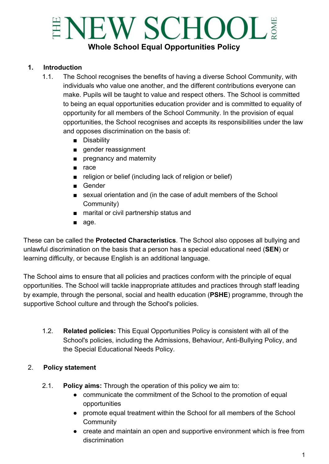# ENEW SCHOOL! **Whole School Equal Opportunities Policy**

#### **1. Introduction**

- 1.1. The School recognises the benefits of having a diverse School Community, with individuals who value one another, and the different contributions everyone can make. Pupils will be taught to value and respect others. The School is committed to being an equal opportunities education provider and is committed to equality of opportunity for all members of the School Community. In the provision of equal opportunities, the School recognises and accepts its responsibilities under the law and opposes discrimination on the basis of:
	- Disability
	- gender reassignment
	- pregnancy and maternity
	- race
	- religion or belief (including lack of religion or belief)
	- Gender
	- sexual orientation and (in the case of adult members of the School Community)
	- marital or civil partnership status and
	- age.

These can be called the **Protected Characteristics**. The School also opposes all bullying and unlawful discrimination on the basis that a person has a special educational need (**SEN**) or learning difficulty, or because English is an additional language.

The School aims to ensure that all policies and practices conform with the principle of equal opportunities. The School will tackle inappropriate attitudes and practices through staff leading by example, through the personal, social and health education (**PSHE**) programme, through the supportive School culture and through the School's policies.

1.2. **Related policies:** This Equal Opportunities Policy is consistent with all of the School's policies, including the Admissions, Behaviour, Anti-Bullying Policy, and the Special Educational Needs Policy.

#### 2. **Policy statement**

- 2.1. **Policy aims:** Through the operation of this policy we aim to:
	- communicate the commitment of the School to the promotion of equal opportunities
	- promote equal treatment within the School for all members of the School **Community**
	- create and maintain an open and supportive environment which is free from discrimination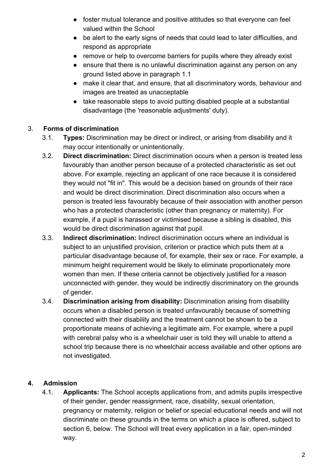- foster mutual tolerance and positive attitudes so that everyone can feel valued within the School
- be alert to the early signs of needs that could lead to later difficulties, and respond as appropriate
- remove or help to overcome barriers for pupils where they already exist
- ensure that there is no unlawful discrimination against any person on any ground listed above in paragraph 1.1
- make it clear that, and ensure, that all discriminatory words, behaviour and images are treated as unacceptable
- take reasonable steps to avoid putting disabled people at a substantial disadvantage (the 'reasonable adjustments' duty).

## 3. **Forms of discrimination**

- 3.1. **Types:** Discrimination may be direct or indirect, or arising from disability and it may occur intentionally or unintentionally.
- 3.2. **Direct discrimination:** Direct discrimination occurs when a person is treated less favourably than another person because of a protected characteristic as set out above. For example, rejecting an applicant of one race because it is considered they would not "fit in". This would be a decision based on grounds of their race and would be direct discrimination. Direct discrimination also occurs when a person is treated less favourably because of their association with another person who has a protected characteristic (other than pregnancy or maternity). For example, if a pupil is harassed or victimised because a sibling is disabled, this would be direct discrimination against that pupil.
- 3.3. **Indirect discrimination:** Indirect discrimination occurs where an individual is subject to an unjustified provision, criterion or practice which puts them at a particular disadvantage because of, for example, their sex or race. For example, a minimum height requirement would be likely to eliminate proportionately more women than men. If these criteria cannot be objectively justified for a reason unconnected with gender, they would be indirectly discriminatory on the grounds of gender.
- 3.4. **Discrimination arising from disability:** Discrimination arising from disability occurs when a disabled person is treated unfavourably because of something connected with their disability and the treatment cannot be shown to be a proportionate means of achieving a legitimate aim. For example, where a pupil with cerebral palsy who is a wheelchair user is told they will unable to attend a school trip because there is no wheelchair access available and other options are not investigated.

## **4. Admission**

4.1. **Applicants:** The School accepts applications from, and admits pupils irrespective of their gender, gender reassignment, race, disability, sexual orientation, pregnancy or maternity, religion or belief or special educational needs and will not discriminate on these grounds in the terms on which a place is offered, subject to section 6, below. The School will treat every application in a fair, open-minded way.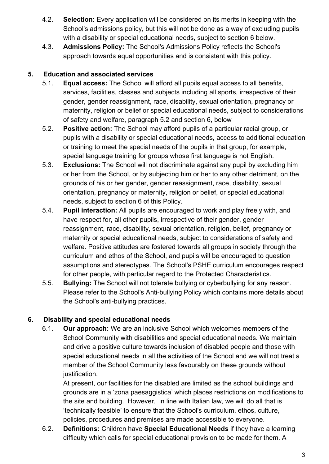- 4.2. **Selection:** Every application will be considered on its merits in keeping with the School's admissions policy, but this will not be done as a way of excluding pupils with a disability or special educational needs, subject to section 6 below.
- 4.3. **Admissions Policy:** The School's Admissions Policy reflects the School's approach towards equal opportunities and is consistent with this policy.

#### **5. Education and associated services**

- 5.1. **Equal access:** The School will afford all pupils equal access to all benefits, services, facilities, classes and subjects including all sports, irrespective of their gender, gender reassignment, race, disability, sexual orientation, pregnancy or maternity, religion or belief or special educational needs, subject to considerations of safety and welfare, paragraph 5.2 and section 6, below
- 5.2. **Positive action:** The School may afford pupils of a particular racial group, or pupils with a disability or special educational needs, access to additional education or training to meet the special needs of the pupils in that group, for example, special language training for groups whose first language is not English.
- 5.3. **Exclusions:** The School will not discriminate against any pupil by excluding him or her from the School, or by subjecting him or her to any other detriment, on the grounds of his or her gender, gender reassignment, race, disability, sexual orientation, pregnancy or maternity, religion or belief, or special educational needs, subject to section 6 of this Policy.
- 5.4. **Pupil interaction:** All pupils are encouraged to work and play freely with, and have respect for, all other pupils, irrespective of their gender, gender reassignment, race, disability, sexual orientation, religion, belief, pregnancy or maternity or special educational needs, subject to considerations of safety and welfare. Positive attitudes are fostered towards all groups in society through the curriculum and ethos of the School, and pupils will be encouraged to question assumptions and stereotypes. The School's PSHE curriculum encourages respect for other people, with particular regard to the Protected Characteristics.
- 5.5. **Bullying:** The School will not tolerate bullying or cyberbullying for any reason. Please refer to the School's Anti-bullying Policy which contains more details about the School's anti-bullying practices.

## **6. Disability and special educational needs**

6.1. **Our approach:** We are an inclusive School which welcomes members of the School Community with disabilities and special educational needs. We maintain and drive a positive culture towards inclusion of disabled people and those with special educational needs in all the activities of the School and we will not treat a member of the School Community less favourably on these grounds without justification.

At present, our facilities for the disabled are limited as the school buildings and grounds are in a 'zona paesaggistica' which places restrictions on modifications to the site and building. However, in line with Italian law, we will do all that is 'technically feasible' to ensure that the School's curriculum, ethos, culture, policies, procedures and premises are made accessible to everyone.

6.2. **Definitions:** Children have **Special Educational Needs** if they have a learning difficulty which calls for special educational provision to be made for them. A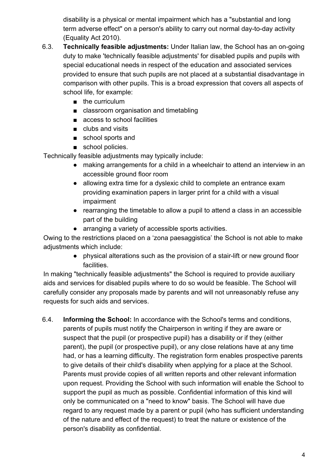disability is a physical or mental impairment which has a "substantial and long term adverse effect" on a person's ability to carry out normal day-to-day activity (Equality Act 2010).

- 6.3. **Technically feasible adjustments:** Under Italian law, the School has an on-going duty to make 'technically feasible adjustments' for disabled pupils and pupils with special educational needs in respect of the education and associated services provided to ensure that such pupils are not placed at a substantial disadvantage in comparison with other pupils. This is a broad expression that covers all aspects of school life, for example:
	- the curriculum
	- classroom organisation and timetabling
	- access to school facilities
	- clubs and visits
	- school sports and
	- school policies.

Technically feasible adjustments may typically include:

- making arrangements for a child in a wheelchair to attend an interview in an accessible ground floor room
- allowing extra time for a dyslexic child to complete an entrance exam providing examination papers in larger print for a child with a visual impairment
- rearranging the timetable to allow a pupil to attend a class in an accessible part of the building
- arranging a variety of accessible sports activities.

Owing to the restrictions placed on a 'zona paesaggistica' the School is not able to make adjustments which include:

> ● physical alterations such as the provision of a stair-lift or new ground floor facilities.

In making "technically feasible adjustments" the School is required to provide auxiliary aids and services for disabled pupils where to do so would be feasible. The School will carefully consider any proposals made by parents and will not unreasonably refuse any requests for such aids and services.

6.4. **Informing the School:** In accordance with the School's terms and conditions, parents of pupils must notify the Chairperson in writing if they are aware or suspect that the pupil (or prospective pupil) has a disability or if they (either parent), the pupil (or prospective pupil), or any close relations have at any time had, or has a learning difficulty. The registration form enables prospective parents to give details of their child's disability when applying for a place at the School. Parents must provide copies of all written reports and other relevant information upon request. Providing the School with such information will enable the School to support the pupil as much as possible. Confidential information of this kind will only be communicated on a "need to know" basis. The School will have due regard to any request made by a parent or pupil (who has sufficient understanding of the nature and effect of the request) to treat the nature or existence of the person's disability as confidential.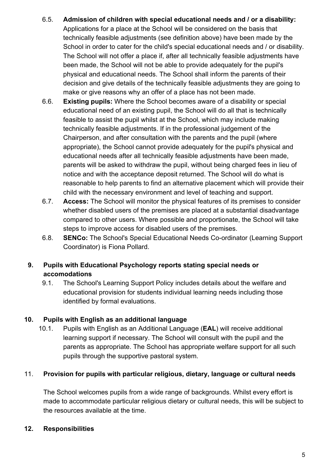- 6.5. **Admission of children with special educational needs and / or a disability:** Applications for a place at the School will be considered on the basis that technically feasible adjustments (see definition above) have been made by the School in order to cater for the child's special educational needs and / or disability. The School will not offer a place if, after all technically feasible adjustments have been made, the School will not be able to provide adequately for the pupil's physical and educational needs. The School shall inform the parents of their decision and give details of the technically feasible adjustments they are going to make or give reasons why an offer of a place has not been made.
- 6.6. **Existing pupils:** Where the School becomes aware of a disability or special educational need of an existing pupil, the School will do all that is technically feasible to assist the pupil whilst at the School, which may include making technically feasible adjustments. If in the professional judgement of the Chairperson, and after consultation with the parents and the pupil (where appropriate), the School cannot provide adequately for the pupil's physical and educational needs after all technically feasible adjustments have been made, parents will be asked to withdraw the pupil, without being charged fees in lieu of notice and with the acceptance deposit returned. The School will do what is reasonable to help parents to find an alternative placement which will provide their child with the necessary environment and level of teaching and support.
- 6.7. **Access:** The School will monitor the physical features of its premises to consider whether disabled users of the premises are placed at a substantial disadvantage compared to other users. Where possible and proportionate, the School will take steps to improve access for disabled users of the premises.
- 6.8. **SENCo:** The School's Special Educational Needs Co-ordinator (Learning Support Coordinator) is Fiona Pollard.

## **9. Pupils with Educational Psychology reports stating special needs or accomodations**

9.1. The School's Learning Support Policy includes details about the welfare and educational provision for students individual learning needs including those identified by formal evaluations.

#### **10. Pupils with English as an additional language**

10.1. Pupils with English as an Additional Language (**EAL**) will receive additional learning support if necessary. The School will consult with the pupil and the parents as appropriate. The School has appropriate welfare support for all such pupils through the supportive pastoral system.

## 11. **Provision for pupils with particular religious, dietary, language or cultural needs**

The School welcomes pupils from a wide range of backgrounds. Whilst every effort is made to accommodate particular religious dietary or cultural needs, this will be subject to the resources available at the time.

## **12. Responsibilities**